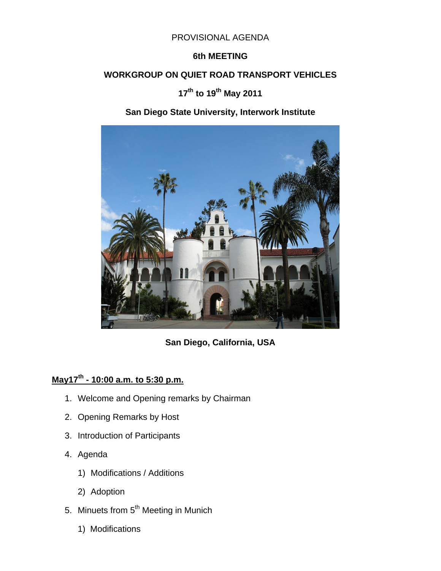#### PROVISIONAL AGENDA

#### **6th MEETING**

#### **WORKGROUP ON QUIET ROAD TRANSPORT VEHICLES**

## **17th to 19th May 2011**

# **San Diego State University, Interwork Institute**



**San Diego, California, USA** 

# **May17th - 10:00 a.m. to 5:30 p.m.**

- 1. Welcome and Opening remarks by Chairman
- 2. Opening Remarks by Host
- 3. Introduction of Participants
- 4. Agenda
	- 1) Modifications / Additions
	- 2) Adoption
- 5. Minuets from 5<sup>th</sup> Meeting in Munich
	- 1) Modifications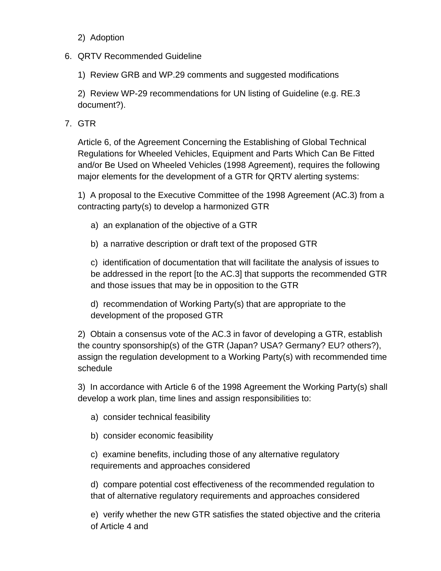### 2) Adoption

### 6. QRTV Recommended Guideline

1) Review GRB and WP.29 comments and suggested modifications

2) Review WP-29 recommendations for UN listing of Guideline (e.g. RE.3 document?).

## 7. GTR

Article 6, of the Agreement Concerning the Establishing of Global Technical Regulations for Wheeled Vehicles, Equipment and Parts Which Can Be Fitted and/or Be Used on Wheeled Vehicles (1998 Agreement), requires the following major elements for the development of a GTR for QRTV alerting systems:

1) A proposal to the Executive Committee of the 1998 Agreement (AC.3) from a contracting party(s) to develop a harmonized GTR

- a) an explanation of the objective of a GTR
- b) a narrative description or draft text of the proposed GTR

c) identification of documentation that will facilitate the analysis of issues to be addressed in the report [to the AC.3] that supports the recommended GTR and those issues that may be in opposition to the GTR

d) recommendation of Working Party(s) that are appropriate to the development of the proposed GTR

2) Obtain a consensus vote of the AC.3 in favor of developing a GTR, establish the country sponsorship(s) of the GTR (Japan? USA? Germany? EU? others?), assign the regulation development to a Working Party(s) with recommended time schedule

3) In accordance with Article 6 of the 1998 Agreement the Working Party(s) shall develop a work plan, time lines and assign responsibilities to:

- a) consider technical feasibility
- b) consider economic feasibility

c) examine benefits, including those of any alternative regulatory requirements and approaches considered

d) compare potential cost effectiveness of the recommended regulation to that of alternative regulatory requirements and approaches considered

e) verify whether the new GTR satisfies the stated objective and the criteria of Article 4 and